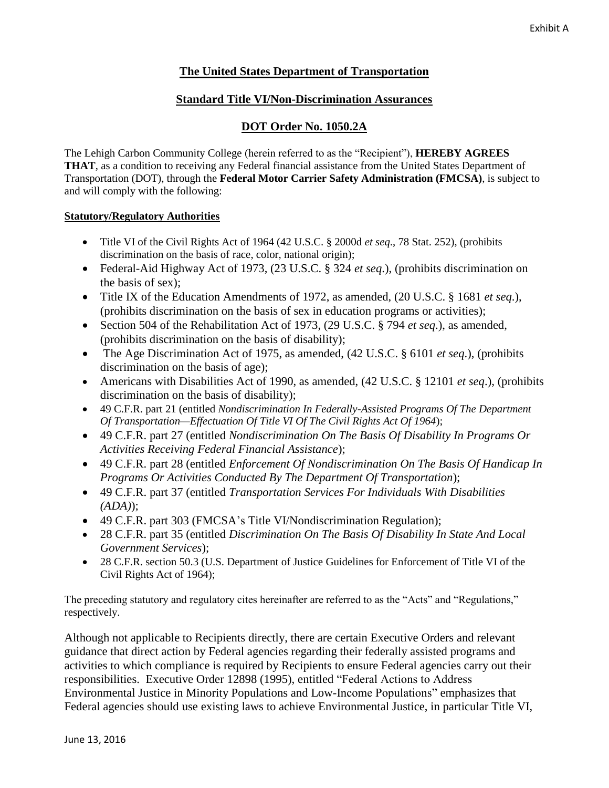# **The United States Department of Transportation**

## **Standard Title VI/Non-Discrimination Assurances**

## **DOT Order No. 1050.2A**

The Lehigh Carbon Community College (herein referred to as the "Recipient"), **HEREBY AGREES THAT**, as a condition to receiving any Federal financial assistance from the United States Department of Transportation (DOT), through the **Federal Motor Carrier Safety Administration (FMCSA)**, is subject to and will comply with the following:

### **Statutory/Regulatory Authorities**

- Title VI of the Civil Rights Act of 1964 (42 U.S.C. § 2000d *et seq*., 78 Stat. 252), (prohibits discrimination on the basis of race, color, national origin);
- Federal-Aid Highway Act of 1973, (23 U.S.C. § 324 *et seq*.), (prohibits discrimination on the basis of sex);
- Title IX of the Education Amendments of 1972, as amended, (20 U.S.C. § 1681 *et seq*.), (prohibits discrimination on the basis of sex in education programs or activities);
- Section 504 of the Rehabilitation Act of 1973, (29 U.S.C. § 794 *et seq*.), as amended, (prohibits discrimination on the basis of disability);
- The Age Discrimination Act of 1975, as amended, (42 U.S.C. § 6101 *et seq*.), (prohibits discrimination on the basis of age);
- Americans with Disabilities Act of 1990, as amended, (42 U.S.C. § 12101 *et seq*.), (prohibits discrimination on the basis of disability);
- 49 C.F.R. part 21 (entitled *Nondiscrimination In Federally-Assisted Programs Of The Department Of Transportation—Effectuation Of Title VI Of The Civil Rights Act Of 1964*);
- 49 C.F.R. part 27 (entitled *Nondiscrimination On The Basis Of Disability In Programs Or Activities Receiving Federal Financial Assistance*);
- 49 C.F.R. part 28 (entitled *Enforcement Of Nondiscrimination On The Basis Of Handicap In Programs Or Activities Conducted By The Department Of Transportation*);
- 49 C.F.R. part 37 (entitled *Transportation Services For Individuals With Disabilities (ADA)*);
- 49 C.F.R. part 303 (FMCSA's Title VI/Nondiscrimination Regulation);
- 28 C.F.R. part 35 (entitled *Discrimination On The Basis Of Disability In State And Local Government Services*);
- 28 C.F.R. section 50.3 (U.S. Department of Justice Guidelines for Enforcement of Title VI of the Civil Rights Act of 1964);

The preceding statutory and regulatory cites hereinafter are referred to as the "Acts" and "Regulations," respectively.

Although not applicable to Recipients directly, there are certain Executive Orders and relevant guidance that direct action by Federal agencies regarding their federally assisted programs and activities to which compliance is required by Recipients to ensure Federal agencies carry out their responsibilities. Executive Order 12898 (1995), entitled "Federal Actions to Address Environmental Justice in Minority Populations and Low-Income Populations" emphasizes that Federal agencies should use existing laws to achieve Environmental Justice, in particular Title VI,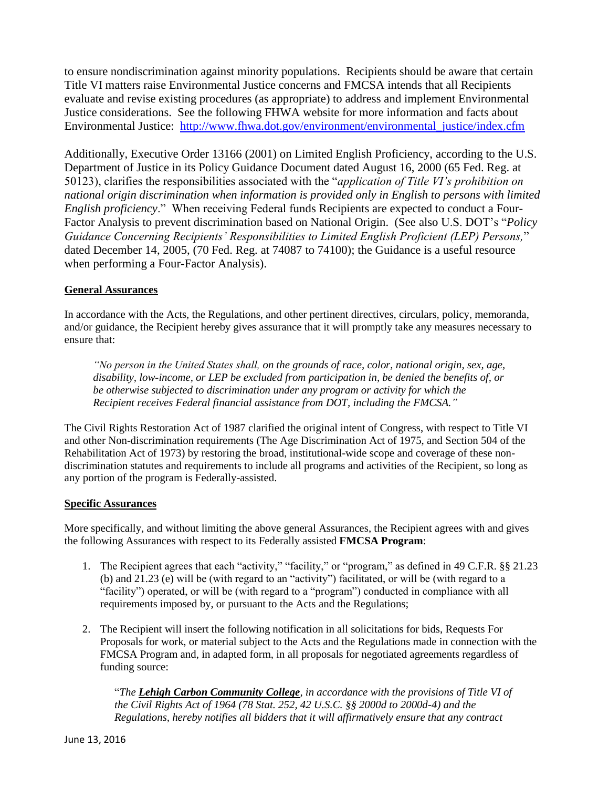to ensure nondiscrimination against minority populations. Recipients should be aware that certain Title VI matters raise Environmental Justice concerns and FMCSA intends that all Recipients evaluate and revise existing procedures (as appropriate) to address and implement Environmental Justice considerations. See the following FHWA website for more information and facts about Environmental Justice: [http://www.fhwa.dot.gov/environment/environmental\\_justice/index.cfm](http://www.fhwa.dot.gov/environment/environmental_justice/index.cfm)

Additionally, Executive Order 13166 (2001) on Limited English Proficiency, according to the U.S. Department of Justice in its Policy Guidance Document dated August 16, 2000 (65 Fed. Reg. at 50123), clarifies the responsibilities associated with the "*application of Title VI's prohibition on national origin discrimination when information is provided only in English to persons with limited English proficiency*." When receiving Federal funds Recipients are expected to conduct a Four-Factor Analysis to prevent discrimination based on National Origin. (See also U.S. DOT's "*Policy Guidance Concerning Recipients' Responsibilities to Limited English Proficient (LEP) Persons,*" dated December 14, 2005, (70 Fed. Reg. at 74087 to 74100); the Guidance is a useful resource when performing a Four-Factor Analysis).

### **General Assurances**

In accordance with the Acts, the Regulations, and other pertinent directives, circulars, policy, memoranda, and/or guidance, the Recipient hereby gives assurance that it will promptly take any measures necessary to ensure that:

*"No person in the United States shall, on the grounds of race, color, national origin, sex, age, disability, low-income, or LEP be excluded from participation in, be denied the benefits of, or be otherwise subjected to discrimination under any program or activity for which the Recipient receives Federal financial assistance from DOT, including the FMCSA."*

The Civil Rights Restoration Act of 1987 clarified the original intent of Congress, with respect to Title VI and other Non-discrimination requirements (The Age Discrimination Act of 1975, and Section 504 of the Rehabilitation Act of 1973) by restoring the broad, institutional-wide scope and coverage of these nondiscrimination statutes and requirements to include all programs and activities of the Recipient, so long as any portion of the program is Federally-assisted.

#### **Specific Assurances**

More specifically, and without limiting the above general Assurances, the Recipient agrees with and gives the following Assurances with respect to its Federally assisted **FMCSA Program**:

- 1. The Recipient agrees that each "activity," "facility," or "program," as defined in 49 C.F.R. §§ 21.23 (b) and 21.23 (e) will be (with regard to an "activity") facilitated, or will be (with regard to a "facility") operated, or will be (with regard to a "program") conducted in compliance with all requirements imposed by, or pursuant to the Acts and the Regulations;
- 2. The Recipient will insert the following notification in all solicitations for bids, Requests For Proposals for work, or material subject to the Acts and the Regulations made in connection with the FMCSA Program and, in adapted form, in all proposals for negotiated agreements regardless of funding source:

"*The Lehigh Carbon Community College, in accordance with the provisions of Title VI of the Civil Rights Act of 1964 (78 Stat. 252, 42 U.S.C. §§ 2000d to 2000d-4) and the Regulations, hereby notifies all bidders that it will affirmatively ensure that any contract*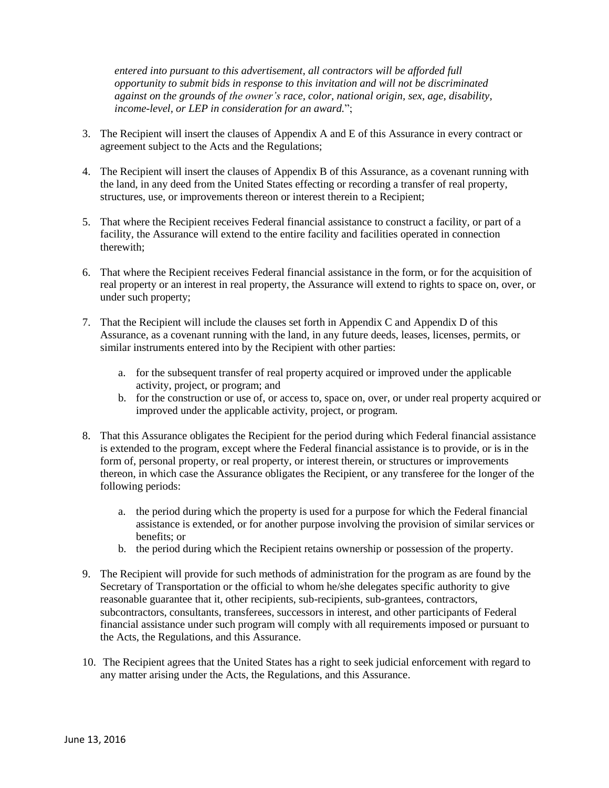*entered into pursuant to this advertisement, all contractors will be afforded full opportunity to submit bids in response to this invitation and will not be discriminated against on the grounds of the owner's race, color, national origin, sex, age, disability, income-level, or LEP in consideration for an award.*";

- 3. The Recipient will insert the clauses of Appendix A and E of this Assurance in every contract or agreement subject to the Acts and the Regulations;
- 4. The Recipient will insert the clauses of Appendix B of this Assurance, as a covenant running with the land, in any deed from the United States effecting or recording a transfer of real property, structures, use, or improvements thereon or interest therein to a Recipient;
- 5. That where the Recipient receives Federal financial assistance to construct a facility, or part of a facility, the Assurance will extend to the entire facility and facilities operated in connection therewith;
- 6. That where the Recipient receives Federal financial assistance in the form, or for the acquisition of real property or an interest in real property, the Assurance will extend to rights to space on, over, or under such property;
- 7. That the Recipient will include the clauses set forth in Appendix C and Appendix D of this Assurance, as a covenant running with the land, in any future deeds, leases, licenses, permits, or similar instruments entered into by the Recipient with other parties:
	- a. for the subsequent transfer of real property acquired or improved under the applicable activity, project, or program; and
	- b. for the construction or use of, or access to, space on, over, or under real property acquired or improved under the applicable activity, project, or program.
- 8. That this Assurance obligates the Recipient for the period during which Federal financial assistance is extended to the program, except where the Federal financial assistance is to provide, or is in the form of, personal property, or real property, or interest therein, or structures or improvements thereon, in which case the Assurance obligates the Recipient, or any transferee for the longer of the following periods:
	- a. the period during which the property is used for a purpose for which the Federal financial assistance is extended, or for another purpose involving the provision of similar services or benefits; or
	- b. the period during which the Recipient retains ownership or possession of the property.
- 9. The Recipient will provide for such methods of administration for the program as are found by the Secretary of Transportation or the official to whom he/she delegates specific authority to give reasonable guarantee that it, other recipients, sub-recipients, sub-grantees, contractors, subcontractors, consultants, transferees, successors in interest, and other participants of Federal financial assistance under such program will comply with all requirements imposed or pursuant to the Acts, the Regulations, and this Assurance.
- 10. The Recipient agrees that the United States has a right to seek judicial enforcement with regard to any matter arising under the Acts, the Regulations, and this Assurance.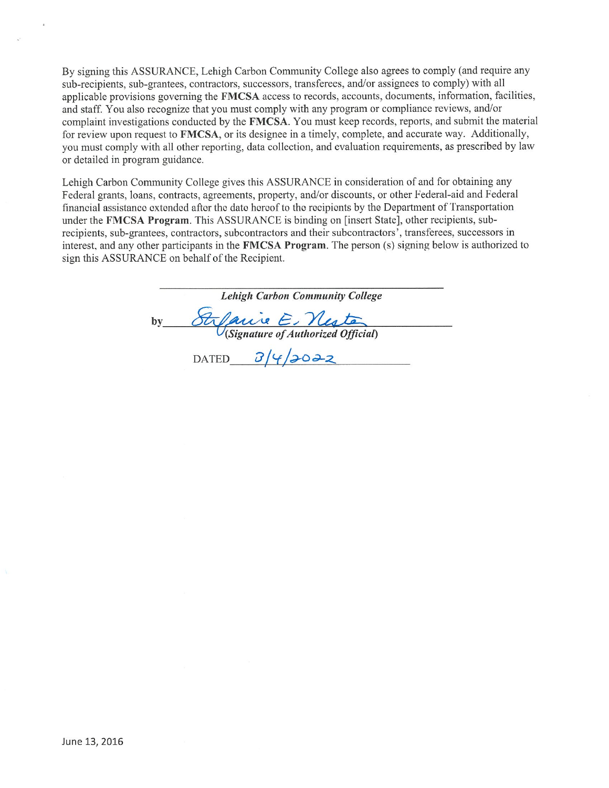By signing this ASSURANCE, Lehigh Carbon Community College also agrees to comply (and require any sub-recipients, sub-grantees, contractors, successors, transferees, and/or assignees to comply) with all applicable provisions governing the FMCSA access to records, accounts, documents, information, facilities, and staff. You also recognize that you must comply with any program or compliance reviews, and/or complaint investigations conducted by the FMCSA. You must keep records, reports, and submit the material for review upon request to FMCSA, or its designee in a timely, complete, and accurate way. Additionally, you must comply with all other reporting, data collection, and evaluation requirements, as prescribed by law or detailed in program guidance.

Lehigh Carbon Community College gives this ASSURANCE in consideration of and for obtaining any Federal grants, loans, contracts, agreements, property, and/or discounts, or other Federal-aid and Federal financial assistance extended after the date hereof to the recipients by the Department of Transportation under the FMCSA Program. This ASSURANCE is binding on [insert State], other recipients, subrecipients, sub-grantees, contractors, subcontractors and their subcontractors', transferees, successors in interest, and any other participants in the FMCSA Program. The person (s) signing below is authorized to sign this ASSURANCE on behalf of the Recipient.

**Lehigh Carbon Community College** St Carie E Neste by

DATED  $3/4/3022$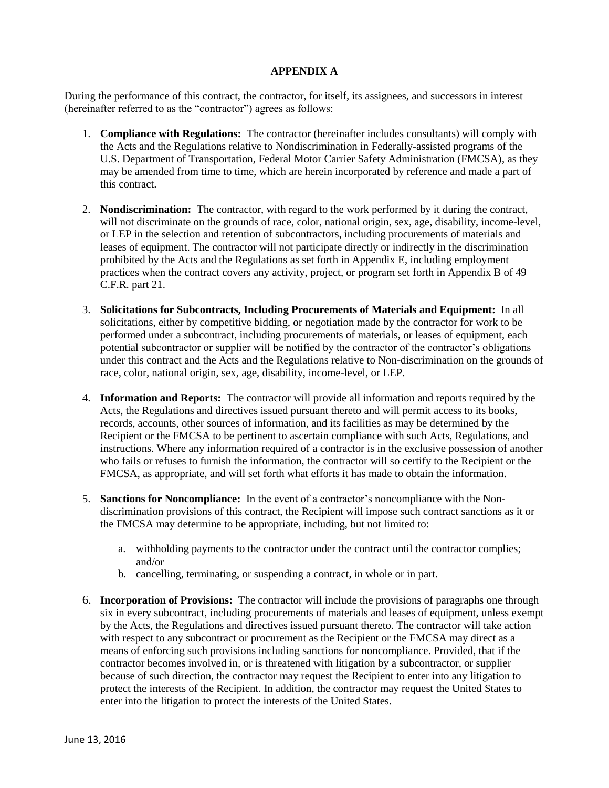### **APPENDIX A**

During the performance of this contract, the contractor, for itself, its assignees, and successors in interest (hereinafter referred to as the "contractor") agrees as follows:

- 1. **Compliance with Regulations:** The contractor (hereinafter includes consultants) will comply with the Acts and the Regulations relative to Nondiscrimination in Federally-assisted programs of the U.S. Department of Transportation, Federal Motor Carrier Safety Administration (FMCSA), as they may be amended from time to time, which are herein incorporated by reference and made a part of this contract.
- 2. **Nondiscrimination:** The contractor, with regard to the work performed by it during the contract, will not discriminate on the grounds of race, color, national origin, sex, age, disability, income-level, or LEP in the selection and retention of subcontractors, including procurements of materials and leases of equipment. The contractor will not participate directly or indirectly in the discrimination prohibited by the Acts and the Regulations as set forth in Appendix E, including employment practices when the contract covers any activity, project, or program set forth in Appendix B of 49 C.F.R. part 21.
- 3. **Solicitations for Subcontracts, Including Procurements of Materials and Equipment:** In all solicitations, either by competitive bidding, or negotiation made by the contractor for work to be performed under a subcontract, including procurements of materials, or leases of equipment, each potential subcontractor or supplier will be notified by the contractor of the contractor's obligations under this contract and the Acts and the Regulations relative to Non-discrimination on the grounds of race, color, national origin, sex, age, disability, income-level, or LEP.
- 4. **Information and Reports:** The contractor will provide all information and reports required by the Acts, the Regulations and directives issued pursuant thereto and will permit access to its books, records, accounts, other sources of information, and its facilities as may be determined by the Recipient or the FMCSA to be pertinent to ascertain compliance with such Acts, Regulations, and instructions. Where any information required of a contractor is in the exclusive possession of another who fails or refuses to furnish the information, the contractor will so certify to the Recipient or the FMCSA, as appropriate, and will set forth what efforts it has made to obtain the information.
- 5. **Sanctions for Noncompliance:** In the event of a contractor's noncompliance with the Nondiscrimination provisions of this contract, the Recipient will impose such contract sanctions as it or the FMCSA may determine to be appropriate, including, but not limited to:
	- a. withholding payments to the contractor under the contract until the contractor complies; and/or
	- b. cancelling, terminating, or suspending a contract, in whole or in part.
- 6. **Incorporation of Provisions:** The contractor will include the provisions of paragraphs one through six in every subcontract, including procurements of materials and leases of equipment, unless exempt by the Acts, the Regulations and directives issued pursuant thereto. The contractor will take action with respect to any subcontract or procurement as the Recipient or the FMCSA may direct as a means of enforcing such provisions including sanctions for noncompliance. Provided, that if the contractor becomes involved in, or is threatened with litigation by a subcontractor, or supplier because of such direction, the contractor may request the Recipient to enter into any litigation to protect the interests of the Recipient. In addition, the contractor may request the United States to enter into the litigation to protect the interests of the United States.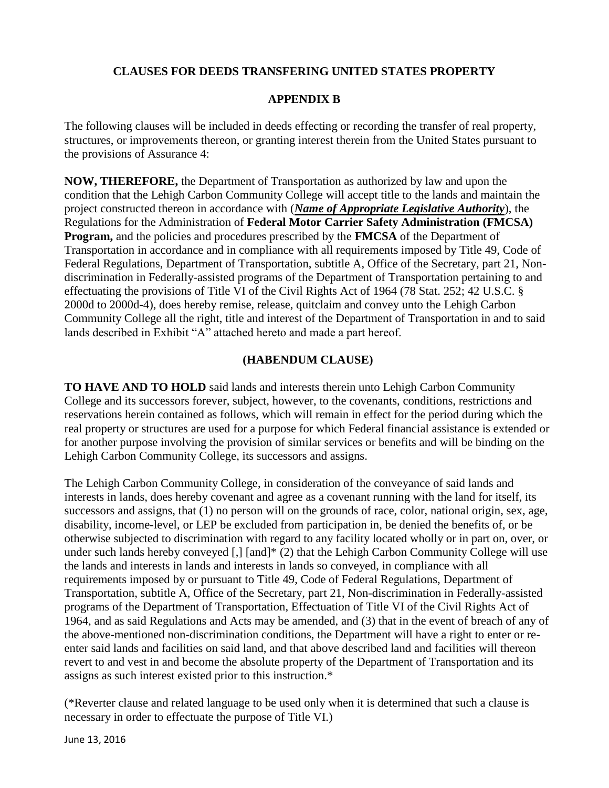# **CLAUSES FOR DEEDS TRANSFERING UNITED STATES PROPERTY**

# **APPENDIX B**

The following clauses will be included in deeds effecting or recording the transfer of real property, structures, or improvements thereon, or granting interest therein from the United States pursuant to the provisions of Assurance 4:

**NOW, THEREFORE,** the Department of Transportation as authorized by law and upon the condition that the Lehigh Carbon Community College will accept title to the lands and maintain the project constructed thereon in accordance with (*Name of Appropriate Legislative Authority*), the Regulations for the Administration of **Federal Motor Carrier Safety Administration (FMCSA) Program,** and the policies and procedures prescribed by the **FMCSA** of the Department of Transportation in accordance and in compliance with all requirements imposed by Title 49, Code of Federal Regulations, Department of Transportation, subtitle A, Office of the Secretary, part 21, Nondiscrimination in Federally-assisted programs of the Department of Transportation pertaining to and effectuating the provisions of Title VI of the Civil Rights Act of 1964 (78 Stat. 252; 42 U.S.C. § 2000d to 2000d-4), does hereby remise, release, quitclaim and convey unto the Lehigh Carbon Community College all the right, title and interest of the Department of Transportation in and to said lands described in Exhibit "A" attached hereto and made a part hereof.

## **(HABENDUM CLAUSE)**

**TO HAVE AND TO HOLD** said lands and interests therein unto Lehigh Carbon Community College and its successors forever, subject, however, to the covenants, conditions, restrictions and reservations herein contained as follows, which will remain in effect for the period during which the real property or structures are used for a purpose for which Federal financial assistance is extended or for another purpose involving the provision of similar services or benefits and will be binding on the Lehigh Carbon Community College, its successors and assigns.

The Lehigh Carbon Community College, in consideration of the conveyance of said lands and interests in lands, does hereby covenant and agree as a covenant running with the land for itself, its successors and assigns, that (1) no person will on the grounds of race, color, national origin, sex, age, disability, income-level, or LEP be excluded from participation in, be denied the benefits of, or be otherwise subjected to discrimination with regard to any facility located wholly or in part on, over, or under such lands hereby conveyed [,] [and]\* (2) that the Lehigh Carbon Community College will use the lands and interests in lands and interests in lands so conveyed, in compliance with all requirements imposed by or pursuant to Title 49, Code of Federal Regulations, Department of Transportation, subtitle A, Office of the Secretary, part 21, Non-discrimination in Federally-assisted programs of the Department of Transportation, Effectuation of Title VI of the Civil Rights Act of 1964, and as said Regulations and Acts may be amended, and (3) that in the event of breach of any of the above-mentioned non-discrimination conditions, the Department will have a right to enter or reenter said lands and facilities on said land, and that above described land and facilities will thereon revert to and vest in and become the absolute property of the Department of Transportation and its assigns as such interest existed prior to this instruction.\*

(\*Reverter clause and related language to be used only when it is determined that such a clause is necessary in order to effectuate the purpose of Title VI.)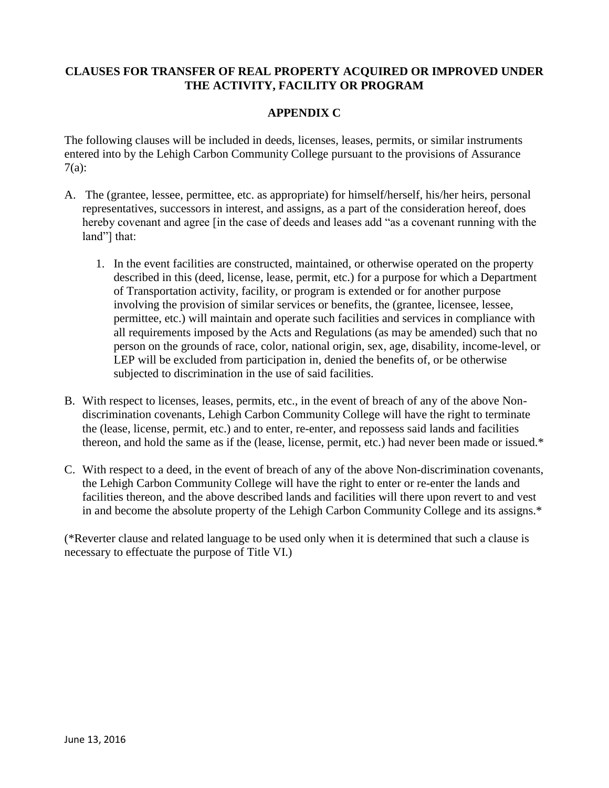# **CLAUSES FOR TRANSFER OF REAL PROPERTY ACQUIRED OR IMPROVED UNDER THE ACTIVITY, FACILITY OR PROGRAM**

# **APPENDIX C**

The following clauses will be included in deeds, licenses, leases, permits, or similar instruments entered into by the Lehigh Carbon Community College pursuant to the provisions of Assurance 7(a):

- A. The (grantee, lessee, permittee, etc. as appropriate) for himself/herself, his/her heirs, personal representatives, successors in interest, and assigns, as a part of the consideration hereof, does hereby covenant and agree [in the case of deeds and leases add "as a covenant running with the land"] that:
	- 1. In the event facilities are constructed, maintained, or otherwise operated on the property described in this (deed, license, lease, permit, etc.) for a purpose for which a Department of Transportation activity, facility, or program is extended or for another purpose involving the provision of similar services or benefits, the (grantee, licensee, lessee, permittee, etc.) will maintain and operate such facilities and services in compliance with all requirements imposed by the Acts and Regulations (as may be amended) such that no person on the grounds of race, color, national origin, sex, age, disability, income-level, or LEP will be excluded from participation in, denied the benefits of, or be otherwise subjected to discrimination in the use of said facilities.
- B. With respect to licenses, leases, permits, etc., in the event of breach of any of the above Nondiscrimination covenants, Lehigh Carbon Community College will have the right to terminate the (lease, license, permit, etc.) and to enter, re-enter, and repossess said lands and facilities thereon, and hold the same as if the (lease, license, permit, etc.) had never been made or issued.\*
- C. With respect to a deed, in the event of breach of any of the above Non-discrimination covenants, the Lehigh Carbon Community College will have the right to enter or re-enter the lands and facilities thereon, and the above described lands and facilities will there upon revert to and vest in and become the absolute property of the Lehigh Carbon Community College and its assigns.\*

(\*Reverter clause and related language to be used only when it is determined that such a clause is necessary to effectuate the purpose of Title VI.)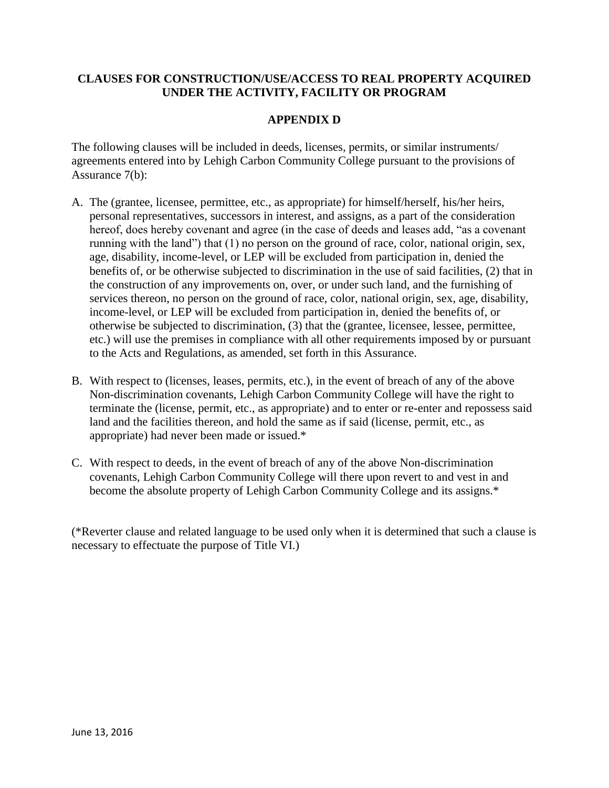# **CLAUSES FOR CONSTRUCTION/USE/ACCESS TO REAL PROPERTY ACQUIRED UNDER THE ACTIVITY, FACILITY OR PROGRAM**

# **APPENDIX D**

The following clauses will be included in deeds, licenses, permits, or similar instruments/ agreements entered into by Lehigh Carbon Community College pursuant to the provisions of Assurance 7(b):

- A. The (grantee, licensee, permittee, etc., as appropriate) for himself/herself, his/her heirs, personal representatives, successors in interest, and assigns, as a part of the consideration hereof, does hereby covenant and agree (in the case of deeds and leases add, "as a covenant running with the land") that (1) no person on the ground of race, color, national origin, sex, age, disability, income-level, or LEP will be excluded from participation in, denied the benefits of, or be otherwise subjected to discrimination in the use of said facilities, (2) that in the construction of any improvements on, over, or under such land, and the furnishing of services thereon, no person on the ground of race, color, national origin, sex, age, disability, income-level, or LEP will be excluded from participation in, denied the benefits of, or otherwise be subjected to discrimination, (3) that the (grantee, licensee, lessee, permittee, etc.) will use the premises in compliance with all other requirements imposed by or pursuant to the Acts and Regulations, as amended, set forth in this Assurance.
- B. With respect to (licenses, leases, permits, etc.), in the event of breach of any of the above Non-discrimination covenants, Lehigh Carbon Community College will have the right to terminate the (license, permit, etc., as appropriate) and to enter or re-enter and repossess said land and the facilities thereon, and hold the same as if said (license, permit, etc., as appropriate) had never been made or issued.\*
- C. With respect to deeds, in the event of breach of any of the above Non-discrimination covenants, Lehigh Carbon Community College will there upon revert to and vest in and become the absolute property of Lehigh Carbon Community College and its assigns.\*

(\*Reverter clause and related language to be used only when it is determined that such a clause is necessary to effectuate the purpose of Title VI.)